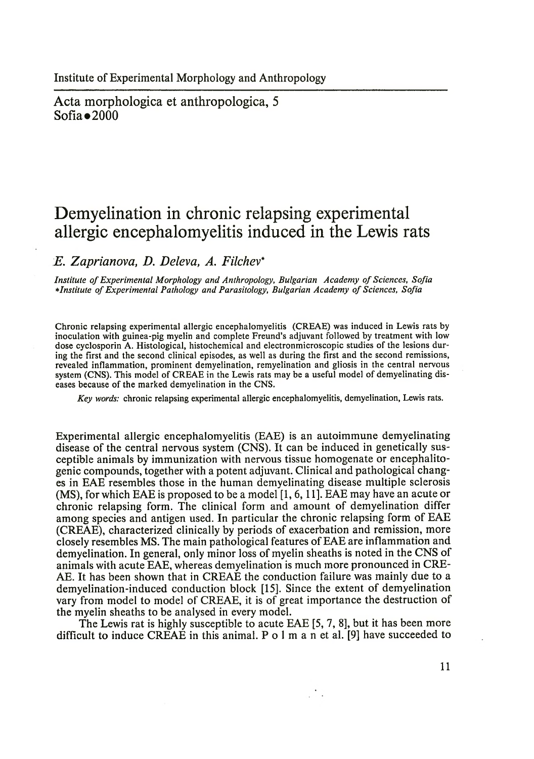Acta morphologica et anthropologica, 5 Sofia $\bullet$ 2000

# **Demyelination in chronic relapsing experimental allergic encephalomyelitis induced in the Lewis rats**

*E. Zaprianova, D. Deleva, A. Filchev\**

*Institute of Experimental Morphology and Anthropology, Bulgarian Academy of Sciences, Sofia* \*Institute of Experimental Pathology and Parasitology, Bulgarian Academy of Sciences, Sofia

Chronic relapsing experimental allergic encephalomyelitis (CREAE) was induced in Lewis rats by inoculation with guinea-pig myelin and complete Freund's adjuvant followed by treatment with low dose cyclosporin A. Histological, histochemical and electronmicroscopic studies of the lesions during the first and the second clinical episodes, as well as during the first and the second remissions, revealed inflammation, prominent demyelination, remyelination and gliosis in the central nervous system (CNS). This model of CREAE in the Lewis rats may be a useful model of demyelinating diseases because of the marked demyelination in the CNS.

*Key words:* chronic relapsing experimental allergic encephalomyelitis, demyelination, Lewis rats.

Experimental allergic encephalomyelitis (EAE) is an autoimmune demyelinating disease of the central nervous system (CNS). It can be induced in genetically susceptible animals by immunization with nervous tissue homogenate or encephalitogenic compounds, together with a potent adjuvant. Clinical and pathological changes in EAE resembles those in the human demyelinating disease multiple sclerosis  $(MS)$ , for which EAE is proposed to be a model [1, 6, 11]. EAE may have an acute or chronic relapsing form. The clinical form and amount of demyelination differ among species and antigen used. In particular the chronic relapsing form of EAE (CREAE), characterized clinically by periods of exacerbation and remission, more closely resembles MS. The main pathological features of EAE are inflammation and demyelination. In general, only minor loss of myelin sheaths is noted in the CNS of animals with acute EAE, whereas demyelination is much more pronounced in CRE-AE. It has been shown that in CREAE the conduction failure was mainly due to a demyelination-induced conduction block [15]. Since the extent of demyelination vary from model to model of CREAE, it is of great importance the destruction of the myelin sheaths to be analysed in every model.

The Lewis rat is highly susceptible to acute EAE [5, 7, 8], but it has been more difficult to induce CREAE in this animal. P  $\circ$  1 m a n et al. [9] have succeeded to

11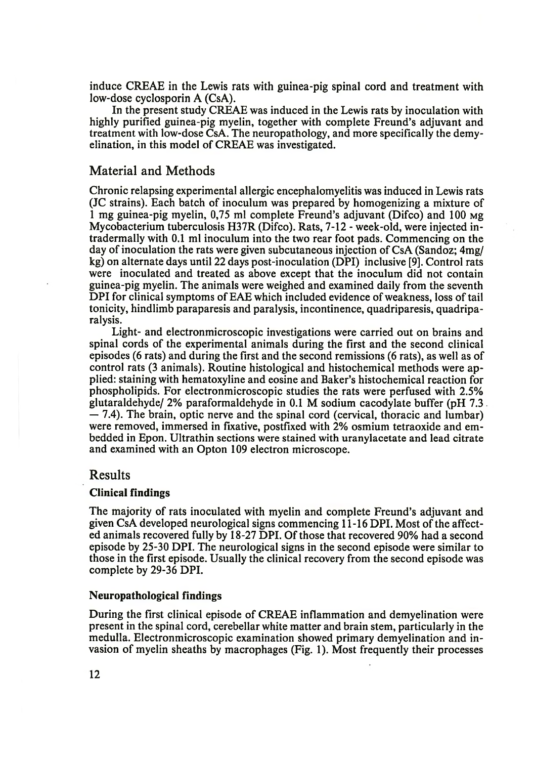induce CREAE in the Lewis rats with guinea-pig spinal cord and treatment with low-dose cyclosporin A (CsA).

In the present study CREAE was induced in the Lewis rats by inoculation with highly purified guinea-pig myelin, together with complete Freund's adjuvant and treatment with low-dose CsA. The neuropathology, and more specifically the demyelination, in this model of CREAE was investigated.

## Material and Methods

Chronic relapsing experimental allergic encephalomyelitis was induced in Lewis rats (JC strains). Each batch of inoculum was prepared by homogenizing a mixture of 1 mg guinea-pig myelin, 0.75 ml complete Freund's adjuvant (Difco) and 100  $\mu$ g Mycobacterium tuberculosis H37R (Difco). Rats, 7-12 - week-old, were injected intradermally with 0.1 ml inoculum into the two rear foot pads. Commencing on the day of inoculation the rats were given subcutaneous injection of CsA (Sandoz; 4mg/ kg) on alternate days until 22 days post-inoculation (DPI) inclusive [9]. Control rats were inoculated and treated as above except that the inoculum did not contain guinea-pig myelin. The animals were weighed and examined daily from the seventh DPI for clinical symptoms of EAE which included evidence of weakness, loss of tail tonicity, hindlimb paraparesis and paralysis, incontinence, quadriparesis, quadriparalysis.

Light- and electronmicroscopic investigations were carried out on brains and spinal cords of the experimental animals during the first and the second clinical episodes (6 rats) and during the first and the second remissions (6 rats), as well as of control rats (3 animals). Routine histological and histochemical methods were applied: staining with hematoxyline and eosine and Baker's histochemical reaction for phospholipids. For electronmicroscopic studies the rats were perfused with 2.5% glutaraldehyde/ 2% paraformaldehyde in 0.1 M sodium cacodylate buffer (pH 7.3 — 7.4). The brain, optic nerve and the spinal cord (cervical, thoracic and lumbar) were removed, immersed in fixative, postfixed with *2%* osmium tetraoxide and embedded in Epon. Ultrathin sections were stained with uranylacetate and lead citrate and examined with an Opton 109 electron microscope.

## Results

#### Clinical findings

The majority of rats inoculated with myelin and complete Freund's adjuvant and given CsA developed neurological signs commencing 11-16 DPI. Most of the affected animals recovered fully by 18-27 DPI. Of those that recovered 90% had a second episode by 25-30 DPI. The neurological signs in the second episode were similar to those in the first episode. Usually the clinical recovery from the second episode was complete by 29-36 DPI.

#### Neuropathological findings

During the first clinical episode of CREAE inflammation and demyelination were present in the spinal cord, cerebellar white matter and brain stem, particularly in the medulla. Electronmicroscopic examination showed primary demyelination and invasion of myelin sheaths by macrophages (Fig. 1). Most frequently their processes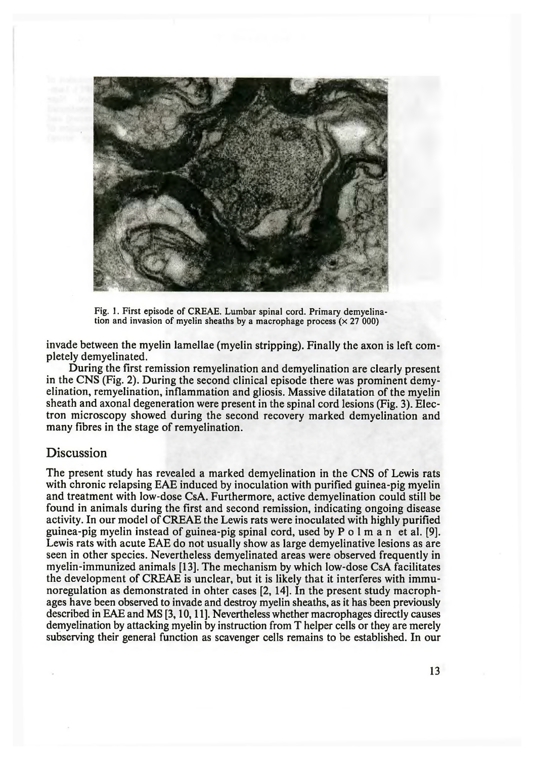

Fig. 1. First episode of CREAE. Lumbar spinal cord. Primary demyelination and invasion of myelin sheaths by a macrophage process  $(x 27 000)$ 

invade between the myelin lamellae (myelin stripping). Finally the axon is left completely demyelinated.

During the First remission remyelination and demyelination are clearly present in the CNS (Fig. 2). During the second clinical episode there was prominent demyelination, remyelination, inflammation and gliosis. Massive dilatation of the myelin sheath and axonal degeneration were present in the spinal cord lesions (Fig. 3). Electron microscopy showed during the second recovery marked demyelination and many Fibres in the stage of remyelination.

## Discussion

The present study has revealed a marked demyelination in the CNS of Lewis rats with chronic relapsing EAE induced by inoculation with purified guinea-pig myelin and treatment with low-dose CsA. Furthermore, active demyelination could still be found in animals during the First and second remission, indicating ongoing disease activity. In our model of CREAE the Lewis rats were inoculated with highly puriFied guinea-pig myelin instead of guinea-pig spinal cord, used by P o 1 m a n et al. [9]. Lewis rats with acute EAE do not usually show as large demyelinative lesions as are seen in other species. Nevertheless demyelinated areas were observed frequently in myelin-immunized animals [13]. The mechanism by which low-dose CsA facilitates the development of CREAE is unclear, but it is likely that it interferes with immunoregulation as demonstrated in ohter cases [2, 14]. In the present study macrophages have been observed to invade and destroy myelin sheaths, as it has been previously described in EAE and MS [3,10,11]. Nevertheless whether macrophages directly causes demyelination by attacking myelin by instruction from T helper cells or they are merely subserving their general function as scavenger cells remains to be established. In our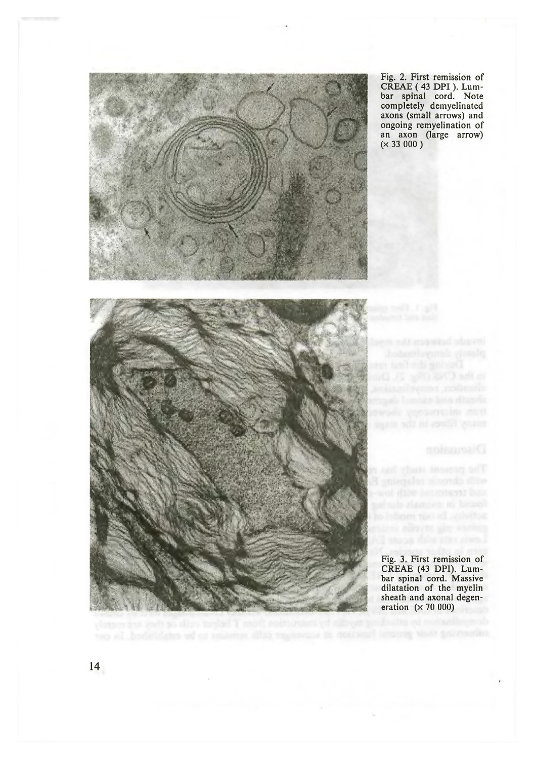

Fig. 2. First remission of CREAE ( 43 DPI ). Lumbar spinal cord. Note completely demyelinated axons (small arrows) and ongoing remyelination of an axon (large arrow)  $(x 33 000)$ 

Fig. 3. First remission of CREAE (43 DPI). Lumbar spinal cord. Massive dilatation of the myelin sheath and axonal degeneration  $(x 70 000)$ 

14